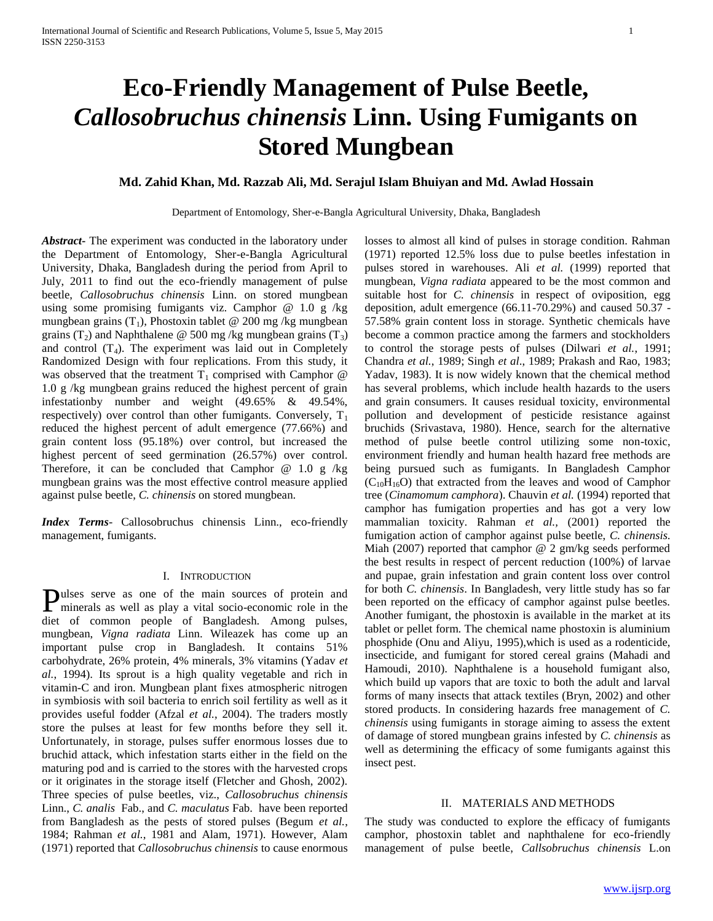# **Eco-Friendly Management of Pulse Beetle,**  *Callosobruchus chinensis* **Linn. Using Fumigants on Stored Mungbean**

# **Md. Zahid Khan, Md. Razzab Ali, Md. Serajul Islam Bhuiyan and Md. Awlad Hossain**

Department of Entomology, Sher-e-Bangla Agricultural University, Dhaka, Bangladesh

*Abstract***-** The experiment was conducted in the laboratory under the Department of Entomology, Sher-e-Bangla Agricultural University, Dhaka, Bangladesh during the period from April to July, 2011 to find out the eco-friendly management of pulse beetle, *Callosobruchus chinensis* Linn. on stored mungbean using some promising fumigants viz. Camphor  $@ 1.0 g/kg$ mungbean grains  $(T_1)$ , Phostoxin tablet @ 200 mg/kg mungbean grains (T<sub>2</sub>) and Naphthalene @ 500 mg/kg mungbean grains (T<sub>3</sub>) and control  $(T_4)$ . The experiment was laid out in Completely Randomized Design with four replications. From this study, it was observed that the treatment  $T_1$  comprised with Camphor  $@$ 1.0 g /kg mungbean grains reduced the highest percent of grain infestationby number and weight (49.65% & 49.54%, respectively) over control than other fumigants. Conversely,  $T_1$ reduced the highest percent of adult emergence (77.66%) and grain content loss (95.18%) over control, but increased the highest percent of seed germination (26.57%) over control. Therefore, it can be concluded that Camphor  $@$  1.0 g /kg mungbean grains was the most effective control measure applied against pulse beetle, *C. chinensis* on stored mungbean.

*Index Terms*- Callosobruchus chinensis Linn., eco-friendly management, fumigants.

#### I. INTRODUCTION

ulses serve as one of the main sources of protein and Pulses serve as one of the main sources of protein and minerals as well as play a vital socio-economic role in the diet of common people of Bangladesh. Among pulses, mungbean, *Vigna radiata* Linn. Wileazek has come up an important pulse crop in Bangladesh. It contains 51% carbohydrate, 26% protein, 4% minerals, 3% vitamins (Yadav *et al.*, 1994). Its sprout is a high quality vegetable and rich in vitamin-C and iron. Mungbean plant fixes atmospheric nitrogen in symbiosis with soil bacteria to enrich soil fertility as well as it provides useful fodder (Afzal *et al.*, 2004). The traders mostly store the pulses at least for few months before they sell it. Unfortunately, in storage, pulses suffer enormous losses due to bruchid attack, which infestation starts either in the field on the maturing pod and is carried to the stores with the harvested crops or it originates in the storage itself (Fletcher and Ghosh, 2002). Three species of pulse beetles, viz., *Callosobruchus chinensis* Linn., *C. analis* Fab., and *C. maculatus* Fab. have been reported from Bangladesh as the pests of stored pulses (Begum *et al.*, 1984; Rahman *et al.*, 1981 and Alam, 1971). However, Alam (1971) reported that *Callosobruchus chinensis* to cause enormous

losses to almost all kind of pulses in storage condition. Rahman (1971) reported 12.5% loss due to pulse beetles infestation in pulses stored in warehouses. Ali *et al.* (1999) reported that mungbean, *Vigna radiata* appeared to be the most common and suitable host for *C. chinensis* in respect of oviposition, egg deposition, adult emergence (66.11-70.29%) and caused 50.37 - 57.58% grain content loss in storage. Synthetic chemicals have become a common practice among the farmers and stockholders to control the storage pests of pulses (Dilwari *et al.*, 1991; Chandra *et al.*, 1989; Singh *et al*., 1989; Prakash and Rao, 1983; Yadav, 1983). It is now widely known that the chemical method has several problems, which include health hazards to the users and grain consumers. It causes residual toxicity, environmental pollution and development of pesticide resistance against bruchids (Srivastava, 1980). Hence, search for the alternative method of pulse beetle control utilizing some non-toxic, environment friendly and human health hazard free methods are being pursued such as fumigants. In Bangladesh Camphor  $(C_{10}H_{16}O)$  that extracted from the leaves and wood of Camphor tree (*Cinamomum camphora*). Chauvin *et al.* (1994) reported that camphor has fumigation properties and has got a very low mammalian toxicity. Rahman *et al.,* (2001) reported the fumigation action of camphor against pulse beetle, *C. chinensis.*  Miah (2007) reported that camphor @ 2 gm/kg seeds performed the best results in respect of percent reduction (100%) of larvae and pupae, grain infestation and grain content loss over control for both *C. chinensis*. In Bangladesh, very little study has so far been reported on the efficacy of camphor against pulse beetles. Another fumigant, the phostoxin is available in the market at its tablet or pellet form. The chemical name phostoxin is aluminium phosphide (Onu and Aliyu*,* 1995),which is used as a rodenticide, insecticide, and fumigant for stored cereal grains (Mahadi and Hamoudi, 2010). Naphthalene is a household fumigant also, which build up vapors that are toxic to both the adult and larval forms of many insects that attack textiles (Bryn, 2002) and other stored products. In considering hazards free management of *C. chinensis* using fumigants in storage aiming to assess the extent of damage of stored mungbean grains infested by *C. chinensis* as well as determining the efficacy of some fumigants against this insect pest.

#### II. MATERIALS AND METHODS

The study was conducted to explore the efficacy of fumigants camphor, phostoxin tablet and naphthalene for eco-friendly management of pulse beetle, *Callsobruchus chinensis* L.on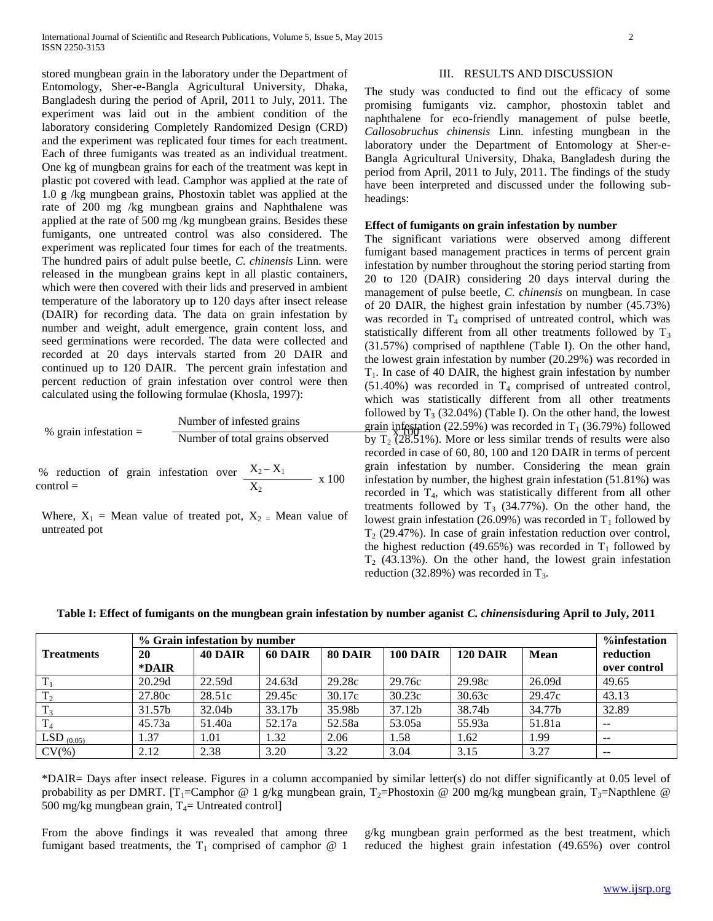stored mungbean grain in the laboratory under the Department of Entomology, Sher-e-Bangla Agricultural University, Dhaka, Bangladesh during the period of April, 2011 to July, 2011. The experiment was laid out in the ambient condition of the laboratory considering Completely Randomized Design (CRD) and the experiment was replicated four times for each treatment. Each of three fumigants was treated as an individual treatment. One kg of mungbean grains for each of the treatment was kept in plastic pot covered with lead. Camphor was applied at the rate of 1.0 g /kg mungbean grains, Phostoxin tablet was applied at the rate of 200 mg /kg mungbean grains and Naphthalene was applied at the rate of 500 mg /kg mungbean grains. Besides these fumigants, one untreated control was also considered. The experiment was replicated four times for each of the treatments. The hundred pairs of adult pulse beetle, *C. chinensis* Linn. were released in the mungbean grains kept in all plastic containers, which were then covered with their lids and preserved in ambient temperature of the laboratory up to 120 days after insect release (DAIR) for recording data. The data on grain infestation by number and weight, adult emergence, grain content loss, and seed germinations were recorded. The data were collected and recorded at 20 days intervals started from 20 DAIR and continued up to 120 DAIR. The percent grain infestation and percent reduction of grain infestation over control were then calculated using the following formulae (Khosla, 1997):

$$
\% \text{ grain infestation} = \frac{\text{Number of infested grains}}{\text{Number of total grains observed}}
$$

% reduction of grain infestation over  $X_2 - X_1$ control =  $\frac{2}{X_2}$  x 100

Where,  $X_1$  = Mean value of treated pot,  $X_2$  = Mean value of untreated pot

# III. RESULTS AND DISCUSSION

The study was conducted to find out the efficacy of some promising fumigants viz. camphor, phostoxin tablet and naphthalene for eco-friendly management of pulse beetle, *Callosobruchus chinensis* Linn. infesting mungbean in the laboratory under the Department of Entomology at Sher-e-Bangla Agricultural University, Dhaka, Bangladesh during the period from April, 2011 to July, 2011. The findings of the study have been interpreted and discussed under the following subheadings:

## **Effect of fumigants on grain infestation by number**

 $\frac{10}{\text{Number of total grains observed}}$  by T<sub>2</sub> (28.51%). More or less similar trends of results were also The significant variations were observed among different fumigant based management practices in terms of percent grain infestation by number throughout the storing period starting from 20 to 120 (DAIR) considering 20 days interval during the management of pulse beetle, *C. chinensis* on mungbean. In case of 20 DAIR, the highest grain infestation by number (45.73%) was recorded in  $T_4$  comprised of untreated control, which was statistically different from all other treatments followed by  $T_3$ (31.57%) comprised of napthlene (Table I). On the other hand, the lowest grain infestation by number (20.29%) was recorded in  $T_1$ . In case of 40 DAIR, the highest grain infestation by number  $(51.40%)$  was recorded in T<sub>4</sub> comprised of untreated control, which was statistically different from all other treatments followed by  $T_3$  (32.04%) (Table I). On the other hand, the lowest grain infestation (22.59%) was recorded in  $T_1$  (36.79%) followed recorded in case of 60, 80, 100 and 120 DAIR in terms of percent grain infestation by number. Considering the mean grain infestation by number, the highest grain infestation (51.81%) was recorded in T<sub>4</sub>, which was statistically different from all other treatments followed by  $T_3$  (34.77%). On the other hand, the lowest grain infestation (26.09%) was recorded in  $T_1$  followed by  $T<sub>2</sub>$  (29.47%). In case of grain infestation reduction over control, the highest reduction (49.65%) was recorded in  $T_1$  followed by  $T<sub>2</sub>$  (43.13%). On the other hand, the lowest grain infestation reduction (32.89%) was recorded in  $T_3$ .

| Table I: Effect of fumigants on the mungbean grain infestation by number aganist C. chinensisduring April to July, 2011 |  |
|-------------------------------------------------------------------------------------------------------------------------|--|
|-------------------------------------------------------------------------------------------------------------------------|--|

|                   |        | % Grain infestation by number |         |         |                 |                 |             |              |
|-------------------|--------|-------------------------------|---------|---------|-----------------|-----------------|-------------|--------------|
| <b>Treatments</b> | 20     | <b>40 DAIR</b>                | 60 DAIR | 80 DAIR | <b>100 DAIR</b> | <b>120 DAIR</b> | <b>Mean</b> | reduction    |
|                   | *DAIR  |                               |         |         |                 |                 |             | over control |
| $\mathbf{T}$      | 20.29d | 22.59d                        | 24.63d  | 29.28c  | 29.76c          | 29.98c          | 26.09d      | 49.65        |
| $T_{2}$           | 27.80c | 28.51c                        | 29.45c  | 30.17c  | 30.23c          | 30.63c          | 29.47c      | 43.13        |
| T.                | 31.57b | 32.04b                        | 33.17b  | 35.98b  | 37.12b          | 38.74b          | 34.77b      | 32.89        |
|                   | 45.73a | 51.40a                        | 52.17a  | 52.58a  | 53.05a          | 55.93a          | 51.81a      | $- -$        |
| $LSD_{(0.05)}$    | 1.37   | 1.01                          | 1.32    | 2.06    | 1.58            | 1.62            | 1.99        | $- -$        |
| $CV(\% )$         | 2.12   | 2.38                          | 3.20    | 3.22    | 3.04            | 3.15            | 3.27        | $- -$        |

\*DAIR= Days after insect release. Figures in a column accompanied by similar letter(s) do not differ significantly at 0.05 level of probability as per DMRT. [T<sub>1</sub>=Camphor @ 1 g/kg mungbean grain, T<sub>2</sub>=Phostoxin @ 200 mg/kg mungbean grain, T<sub>3</sub>=Napthlene @ 500 mg/kg mungbean grain,  $T_4$ = Untreated control]

From the above findings it was revealed that among three fumigant based treatments, the  $T_1$  comprised of camphor  $@1$ 

g/kg mungbean grain performed as the best treatment, which reduced the highest grain infestation (49.65%) over control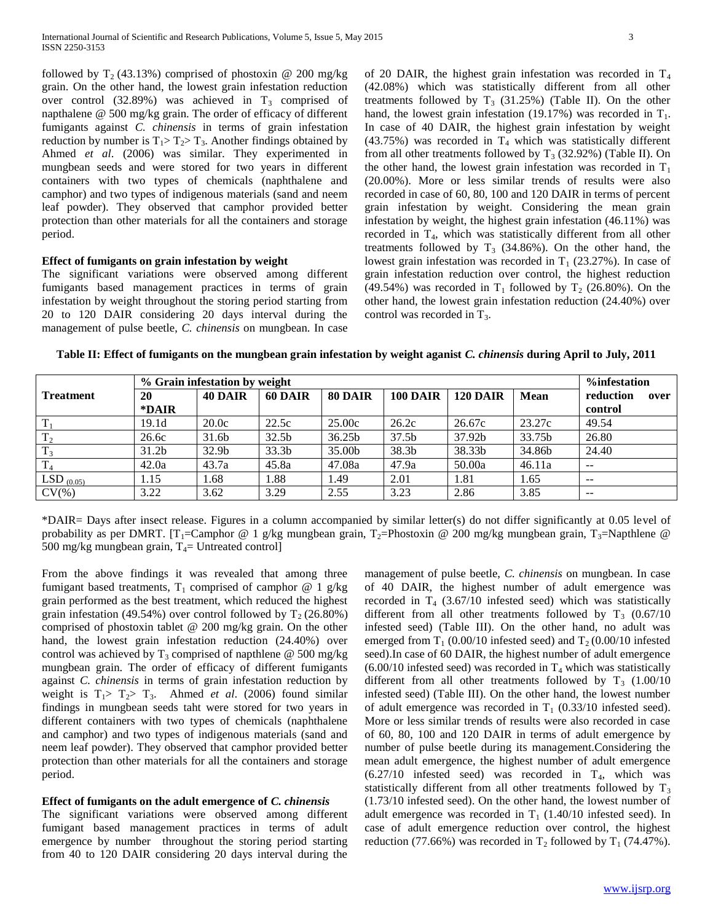followed by  $T_2$  (43.13%) comprised of phostoxin @ 200 mg/kg grain. On the other hand, the lowest grain infestation reduction over control (32.89%) was achieved in  $T_3$  comprised of napthalene @ 500 mg/kg grain. The order of efficacy of different fumigants against *C. chinensis* in terms of grain infestation reduction by number is  $T_1 > T_2 > T_3$ . Another findings obtained by Ahmed *et al*. (2006) was similar. They experimented in mungbean seeds and were stored for two years in different containers with two types of chemicals (naphthalene and camphor) and two types of indigenous materials (sand and neem leaf powder). They observed that camphor provided better protection than other materials for all the containers and storage period.

## **Effect of fumigants on grain infestation by weight**

The significant variations were observed among different fumigants based management practices in terms of grain infestation by weight throughout the storing period starting from 20 to 120 DAIR considering 20 days interval during the management of pulse beetle, *C. chinensis* on mungbean. In case of 20 DAIR, the highest grain infestation was recorded in  $T_4$ (42.08%) which was statistically different from all other treatments followed by  $T_3$  (31.25%) (Table II). On the other hand, the lowest grain infestation (19.17%) was recorded in  $T_1$ . In case of 40 DAIR, the highest grain infestation by weight (43.75%) was recorded in  $T_4$  which was statistically different from all other treatments followed by  $T_3$  (32.92%) (Table II). On the other hand, the lowest grain infestation was recorded in  $T_1$ (20.00%). More or less similar trends of results were also recorded in case of 60, 80, 100 and 120 DAIR in terms of percent grain infestation by weight. Considering the mean grain infestation by weight, the highest grain infestation (46.11%) was recorded in T<sub>4</sub>, which was statistically different from all other treatments followed by  $T_3$  (34.86%). On the other hand, the lowest grain infestation was recorded in  $T_1$  (23.27%). In case of grain infestation reduction over control, the highest reduction (49.54%) was recorded in  $T_1$  followed by  $T_2$  (26.80%). On the other hand, the lowest grain infestation reduction (24.40%) over control was recorded in  $T_3$ .

**Table II: Effect of fumigants on the mungbean grain infestation by weight aganist** *C. chinensis* **during April to July, 2011**

|                  | % Grain infestation by weight |                   |                   |         |                   |                 |             | %infestation                          |
|------------------|-------------------------------|-------------------|-------------------|---------|-------------------|-----------------|-------------|---------------------------------------|
| <b>Treatment</b> | 20                            | <b>40 DAIR</b>    | 60 DAIR           | 80 DAIR | <b>100 DAIR</b>   | <b>120 DAIR</b> | <b>Mean</b> | reduction<br>over                     |
|                  | *DAIR                         |                   |                   |         |                   |                 |             | control                               |
|                  | 19.1d                         | 20.0c             | 22.5c             | 25.00c  | 26.2c             | 26.67c          | 23.27c      | 49.54                                 |
| $T_2$            | 26.6c                         | 31.6b             | 32.5 <sub>b</sub> | 36.25b  | 37.5 <sub>b</sub> | 37.92b          | 33.75b      | 26.80                                 |
| $T_3$            | 31.2 <sub>b</sub>             | 32.9 <sub>b</sub> | 33.3 <sub>b</sub> | 35.00b  | 38.3b             | 38.33b          | 34.86b      | 24.40                                 |
|                  | 42.0a                         | 43.7a             | 45.8a             | 47.08a  | 47.9a             | 50.00a          | 46.11a      | $\sim$ $\sim$                         |
| LSD $(0.05)$     | 1.15                          | 1.68              | 1.88              | 1.49    | 2.01              | 1.81            | 1.65        | $ -$                                  |
| $CV(\% )$        | 3.22                          | 3.62              | 3.29              | 2.55    | 3.23              | 2.86            | 3.85        | $\hspace{0.05cm}$ – $\hspace{0.05cm}$ |

\*DAIR= Days after insect release. Figures in a column accompanied by similar letter(s) do not differ significantly at 0.05 level of probability as per DMRT. [T<sub>1</sub>=Camphor @ 1 g/kg mungbean grain, T<sub>2</sub>=Phostoxin @ 200 mg/kg mungbean grain, T<sub>3</sub>=Napthlene @ 500 mg/kg mungbean grain,  $T_4$ = Untreated control]

From the above findings it was revealed that among three fumigant based treatments,  $T_1$  comprised of camphor @ 1 g/kg grain performed as the best treatment, which reduced the highest grain infestation (49.54%) over control followed by  $T_2$  (26.80%) comprised of phostoxin tablet @ 200 mg/kg grain. On the other hand, the lowest grain infestation reduction (24.40%) over control was achieved by  $T_3$  comprised of napthlene @ 500 mg/kg mungbean grain. The order of efficacy of different fumigants against *C. chinensis* in terms of grain infestation reduction by weight is  $T_1 > T_2 > T_3$ . Ahmed *et al.* (2006) found similar findings in mungbean seeds taht were stored for two years in different containers with two types of chemicals (naphthalene and camphor) and two types of indigenous materials (sand and neem leaf powder). They observed that camphor provided better protection than other materials for all the containers and storage period.

# **Effect of fumigants on the adult emergence of** *C. chinensis*

The significant variations were observed among different fumigant based management practices in terms of adult emergence by number throughout the storing period starting from 40 to 120 DAIR considering 20 days interval during the

management of pulse beetle, *C. chinensis* on mungbean. In case of 40 DAIR, the highest number of adult emergence was recorded in  $T_4$  (3.67/10 infested seed) which was statistically different from all other treatments followed by  $T_3$  (0.67/10) infested seed) (Table III). On the other hand, no adult was emerged from  $T_1$  (0.00/10 infested seed) and  $T_2$  (0.00/10 infested seed).In case of 60 DAIR, the highest number of adult emergence  $(6.00/10$  infested seed) was recorded in T<sub>4</sub> which was statistically different from all other treatments followed by  $T_3$  (1.00/10) infested seed) (Table III). On the other hand, the lowest number of adult emergence was recorded in  $T_1$  (0.33/10 infested seed). More or less similar trends of results were also recorded in case of 60, 80, 100 and 120 DAIR in terms of adult emergence by number of pulse beetle during its management.Considering the mean adult emergence, the highest number of adult emergence  $(6.27/10$  infested seed) was recorded in T<sub>4</sub>, which was statistically different from all other treatments followed by  $T_3$ (1.73/10 infested seed). On the other hand, the lowest number of adult emergence was recorded in  $T_1$  (1.40/10 infested seed). In case of adult emergence reduction over control, the highest reduction (77.66%) was recorded in  $T_2$  followed by  $T_1$  (74.47%).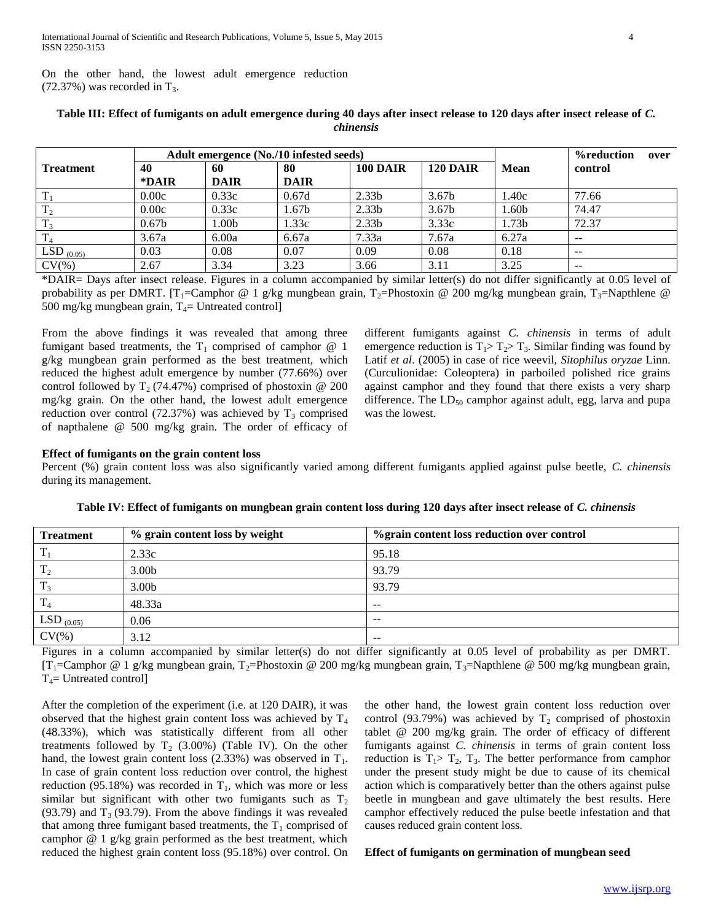On the other hand, the lowest adult emergence reduction  $(72.37%)$  was recorded in T<sub>3</sub>.

| Adult emergence (No./10 infested seeds) |                   |                  |                   |                   |                   |             | <b>%reduction</b><br>over |
|-----------------------------------------|-------------------|------------------|-------------------|-------------------|-------------------|-------------|---------------------------|
| <b>Treatment</b>                        | 40                | 60               | 80                | <b>100 DAIR</b>   | <b>120 DAIR</b>   | <b>Mean</b> | control                   |
|                                         | *DAIR             | <b>DAIR</b>      | <b>DAIR</b>       |                   |                   |             |                           |
| $T_1$                                   | 0.00c             | 0.33c            | 0.67d             | 2.33 <sub>b</sub> | 3.67 <sub>b</sub> | 1.40c       | 77.66                     |
| T <sub>2</sub>                          | 0.00c             | 0.33c            | 1.67 <sub>b</sub> | 2.33 <sub>b</sub> | 3.67 <sub>b</sub> | 1.60b       | 74.47                     |
| $T_3$                                   | 0.67 <sub>b</sub> | .00 <sub>b</sub> | 1.33c             | 2.33 <sub>b</sub> | 3.33c             | 1.73b       | 72.37                     |
| $T_{4}$                                 | 3.67a             | 6.00a            | 6.67a             | 7.33a             | 7.67a             | 6.27a       | $- -$                     |
| LSD $(0.05)$                            | 0.03              | 0.08             | 0.07              | 0.09              | 0.08              | 0.18        | $- -$                     |
| $CV(\% )$                               | 2.67              | 3.34             | 3.23              | 3.66              | 3.11              | 3.25        | $\overline{\phantom{m}}$  |

# **Table III: Effect of fumigants on adult emergence during 40 days after insect release to 120 days after insect release of** *C. chinensis*

\*DAIR= Days after insect release. Figures in a column accompanied by similar letter(s) do not differ significantly at 0.05 level of probability as per DMRT. [T<sub>1</sub>=Camphor @ 1 g/kg mungbean grain, T<sub>2</sub>=Phostoxin @ 200 mg/kg mungbean grain, T<sub>3</sub>=Napthlene @ 500 mg/kg mungbean grain,  $T_4$ = Untreated control]

From the above findings it was revealed that among three fumigant based treatments, the  $T_1$  comprised of camphor  $@1$ g/kg mungbean grain performed as the best treatment, which reduced the highest adult emergence by number (77.66%) over control followed by  $T_2$  (74.47%) comprised of phostoxin @ 200 mg/kg grain. On the other hand, the lowest adult emergence reduction over control (72.37%) was achieved by  $T_3$  comprised of napthalene @ 500 mg/kg grain. The order of efficacy of

different fumigants against *C. chinensis* in terms of adult emergence reduction is  $T_1 > T_2 > T_3$ . Similar finding was found by Latif *et al*. (2005) in case of rice weevil, *Sitophilus oryzae* Linn. (Curculionidae: Coleoptera) in parboiled polished rice grains against camphor and they found that there exists a very sharp difference. The  $LD_{50}$  camphor against adult, egg, larva and pupa was the lowest.

# **Effect of fumigants on the grain content loss**

Percent (%) grain content loss was also significantly varied among different fumigants applied against pulse beetle, *C. chinensis* during its management.

| <b>Treatment</b> | % grain content loss by weight | % grain content loss reduction over control |
|------------------|--------------------------------|---------------------------------------------|
| $T_1$            | 2.33c                          | 95.18                                       |
| T <sub>2</sub>   | 3.00 <sub>b</sub>              | 93.79                                       |
| $T_3$            | 3.00 <sub>b</sub>              | 93.79                                       |
| T <sub>4</sub>   | 48.33a                         | $- -$                                       |
| LSD $_{(0.05)}$  | 0.06                           | $- -$                                       |
| $CV(\% )$        | 3.12                           | $- -$                                       |

**Table IV: Effect of fumigants on mungbean grain content loss during 120 days after insect release of** *C. chinensis*

Figures in a column accompanied by similar letter(s) do not differ significantly at 0.05 level of probability as per DMRT.  $[T_1=Camphor @ 1 g/kg mungbean grain, T_2=Phostoxin @ 200 mg/kg mungbean grain, T_3=Napthlene @ 500 mg/kg mungbean grain,$  $T_4$ = Untreated control]

After the completion of the experiment (i.e. at 120 DAIR), it was observed that the highest grain content loss was achieved by  $T_4$ (48.33%), which was statistically different from all other treatments followed by  $T_2$  (3.00%) (Table IV). On the other hand, the lowest grain content loss  $(2.33%)$  was observed in  $T_1$ . In case of grain content loss reduction over control, the highest reduction (95.18%) was recorded in  $T_1$ , which was more or less similar but significant with other two fumigants such as  $T_2$ (93.79) and  $T_3$  (93.79). From the above findings it was revealed that among three fumigant based treatments, the  $T_1$  comprised of camphor @ 1 g/kg grain performed as the best treatment, which reduced the highest grain content loss (95.18%) over control. On

the other hand, the lowest grain content loss reduction over control (93.79%) was achieved by  $T_2$  comprised of phostoxin tablet @ 200 mg/kg grain. The order of efficacy of different fumigants against *C. chinensis* in terms of grain content loss reduction is  $T_1 > T_2$ ,  $T_3$ . The better performance from camphor under the present study might be due to cause of its chemical action which is comparatively better than the others against pulse beetle in mungbean and gave ultimately the best results. Here camphor effectively reduced the pulse beetle infestation and that causes reduced grain content loss.

### **Effect of fumigants on germination of mungbean seed**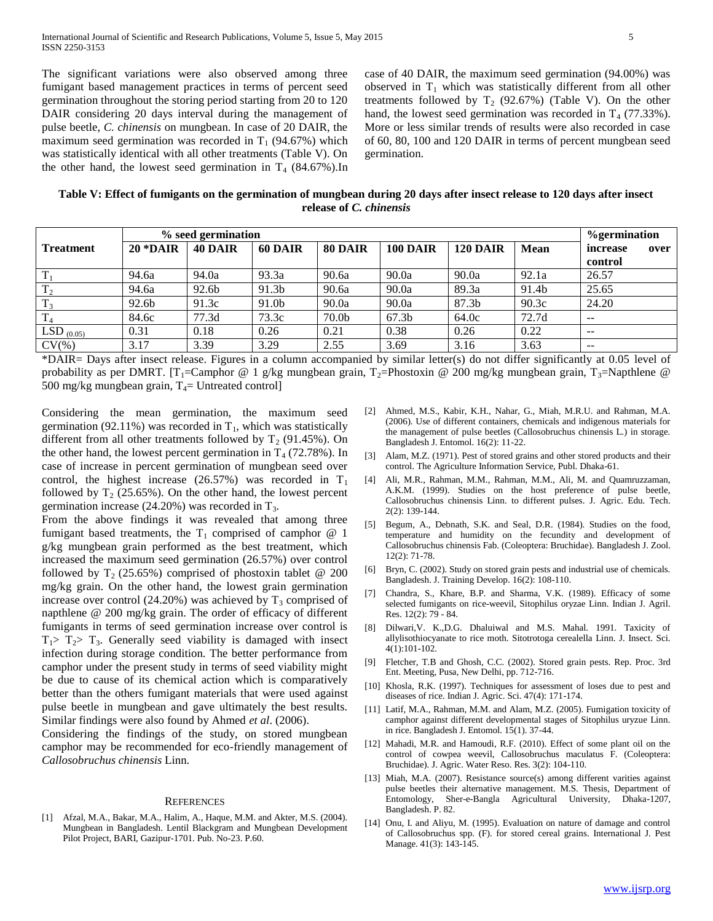The significant variations were also observed among three fumigant based management practices in terms of percent seed germination throughout the storing period starting from 20 to 120 DAIR considering 20 days interval during the management of pulse beetle, *C. chinensis* on mungbean. In case of 20 DAIR, the maximum seed germination was recorded in  $T_1$  (94.67%) which was statistically identical with all other treatments (Table V). On the other hand, the lowest seed germination in  $T_4$  (84.67%).In case of 40 DAIR, the maximum seed germination (94.00%) was observed in  $T_1$  which was statistically different from all other treatments followed by  $T_2$  (92.67%) (Table V). On the other hand, the lowest seed germination was recorded in  $T_4$  (77.33%). More or less similar trends of results were also recorded in case of 60, 80, 100 and 120 DAIR in terms of percent mungbean seed germination.

**Table V: Effect of fumigants on the germination of mungbean during 20 days after insect release to 120 days after insect release of** *C. chinensis*

|                  | % seed germination |         |         |                   |                   |                 |             |                  |
|------------------|--------------------|---------|---------|-------------------|-------------------|-----------------|-------------|------------------|
| <b>Treatment</b> | $20 * DAIR$        | 40 DAIR | 60 DAIR | 80 DAIR           | <b>100 DAIR</b>   | <b>120 DAIR</b> | <b>Mean</b> | increase<br>over |
|                  |                    |         |         |                   |                   |                 |             | control          |
| $\mathbf{T}$     | 94.6a              | 94.0a   | 93.3a   | 90.6a             | 90.0a             | 90.0a           | 92.1a       | 26.57            |
| $T_{2}$          | 94.6a              | 92.6b   | 91.3b   | 90.6a             | 90.0a             | 89.3a           | 91.4b       | 25.65            |
| $\mathbf{T}$     | 92.6b              | 91.3c   | 91.0b   | 90.0a             | 90.0a             | 87.3b           | 90.3c       | 24.20            |
| $\mathbf{T}$     | 84.6c              | 77.3d   | 73.3c   | 70.0 <sub>b</sub> | 67.3 <sub>b</sub> | 64.0c           | 72.7d       | $- -$            |
| LSD $(0.05)$     | 0.31               | 0.18    | 0.26    | 0.21              | 0.38              | 0.26            | 0.22        | $- -$            |
| $CV(\% )$        | 3.17               | 3.39    | 3.29    | 2.55              | 3.69              | 3.16            | 3.63        | $- -$            |

\*DAIR= Days after insect release. Figures in a column accompanied by similar letter(s) do not differ significantly at 0.05 level of probability as per DMRT. [T<sub>1</sub>=Camphor @ 1 g/kg mungbean grain, T<sub>2</sub>=Phostoxin @ 200 mg/kg mungbean grain, T<sub>3</sub>=Napthlene @ 500 mg/kg mungbean grain,  $T_4$ = Untreated control]

Considering the mean germination, the maximum seed germination (92.11%) was recorded in  $T_1$ , which was statistically different from all other treatments followed by  $T_2$  (91.45%). On the other hand, the lowest percent germination in  $T_4$  (72.78%). In case of increase in percent germination of mungbean seed over control, the highest increase (26.57%) was recorded in  $T_1$ followed by  $T_2$  (25.65%). On the other hand, the lowest percent germination increase  $(24.20\%)$  was recorded in  $T<sub>3</sub>$ .

From the above findings it was revealed that among three fumigant based treatments, the  $T_1$  comprised of camphor  $@1$ g/kg mungbean grain performed as the best treatment, which increased the maximum seed germination (26.57%) over control followed by  $T_2$  (25.65%) comprised of phostoxin tablet @ 200 mg/kg grain. On the other hand, the lowest grain germination increase over control (24.20%) was achieved by  $T_3$  comprised of napthlene @ 200 mg/kg grain. The order of efficacy of different fumigants in terms of seed germination increase over control is  $T_1$ >  $T_2$ >  $T_3$ . Generally seed viability is damaged with insect infection during storage condition. The better performance from camphor under the present study in terms of seed viability might be due to cause of its chemical action which is comparatively better than the others fumigant materials that were used against pulse beetle in mungbean and gave ultimately the best results. Similar findings were also found by Ahmed *et al*. (2006).

Considering the findings of the study, on stored mungbean camphor may be recommended for eco-friendly management of *Callosobruchus chinensis* Linn.

#### **REFERENCES**

[1] Afzal, M.A., Bakar, M.A., Halim, A., Haque, M.M. and Akter, M.S. (2004). Mungbean in Bangladesh. Lentil Blackgram and Mungbean Development Pilot Project, BARI, Gazipur-1701. Pub. No-23. P.60.

- [2] Ahmed, M.S., Kabir, K.H., Nahar, G., Miah, M.R.U. and Rahman, M.A. (2006). Use of different containers, chemicals and indigenous materials for the management of pulse beetles (Callosobruchus chinensis L.) in storage. Bangladesh J. Entomol. 16(2): 11-22.
- [3] Alam, M.Z. (1971). Pest of stored grains and other stored products and their control. The Agriculture Information Service, Publ. Dhaka-61.
- [4] Ali, M.R., Rahman, M.M., Rahman, M.M., Ali, M. and Quamruzzaman, A.K.M. (1999). Studies on the host preference of pulse beetle, Callosobruchus chinensis Linn. to different pulses. J. Agric. Edu. Tech. 2(2): 139-144.
- [5] Begum, A., Debnath, S.K. and Seal, D.R. (1984). Studies on the food, temperature and humidity on the fecundity and development of Callosobruchus chinensis Fab. (Coleoptera: Bruchidae). Bangladesh J. Zool. 12(2): 71-78.
- [6] Bryn, C. (2002). Study on stored grain pests and industrial use of chemicals. Bangladesh. J. Training Develop. 16(2): 108-110.
- [7] Chandra, S., Khare, B.P. and Sharma, V.K. (1989). Efficacy of some selected fumigants on rice-weevil, Sitophilus oryzae Linn. Indian J. Agril. Res. 12(2): 79 - 84.
- [8] Dilwari,V. K.,D.G. Dhaluiwal and M.S. Mahal. 1991. Taxicity of allylisothiocyanate to rice moth. Sitotrotoga cerealella Linn. J. Insect. Sci. 4(1):101-102.
- [9] Fletcher, T.B and Ghosh, C.C. (2002). Stored grain pests. Rep. Proc. 3rd Ent. Meeting, Pusa, New Delhi, pp. 712-716.
- [10] Khosla, R.K. (1997). Techniques for assessment of loses due to pest and diseases of rice. Indian J. Agric. Sci. 47(4): 171-174.
- [11] Latif, M.A., Rahman, M.M. and Alam, M.Z. (2005). Fumigation toxicity of camphor against different developmental stages of Sitophilus uryzue Linn. in rice. Bangladesh J. Entomol. 15(1). 37-44.
- [12] Mahadi, M.R. and Hamoudi, R.F. (2010). Effect of some plant oil on the control of cowpea weevil, Callosobruchus maculatus F. (Coleoptera: Bruchidae). J. Agric. Water Reso. Res. 3(2): 104-110.
- [13] Miah, M.A. (2007). Resistance source(s) among different varities against pulse beetles their alternative management. M.S. Thesis, Department of Entomology, Sher-e-Bangla Agricultural University, Dhaka-1207, Bangladesh. P. 82.
- [14] Onu, I. and Aliyu, M. (1995). Evaluation on nature of damage and control of Callosobruchus spp. (F). for stored cereal grains. International J. Pest Manage. 41(3): 143-145.